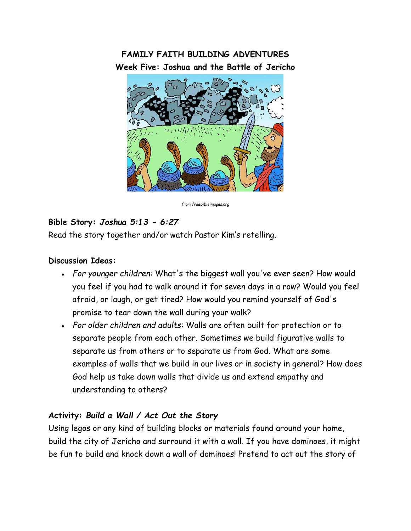# **FAMILY FAITH BUILDING ADVENTURES Week Five: Joshua and the Battle of Jericho**



*from freebibleimages.org*

### **Bible Story:** *Joshua 5:13 - 6:27*

Read the story together and/or watch Pastor Kim's retelling.

#### **Discussion Ideas:**

- *For younger children:* What's the biggest wall you've ever seen? How would you feel if you had to walk around it for seven days in a row? Would you feel afraid, or laugh, or get tired? How would you remind yourself of God's promise to tear down the wall during your walk?
- *For older children and adults:* Walls are often built for protection or to separate people from each other. Sometimes we build figurative walls to separate us from others or to separate us from God. What are some examples of walls that we build in our lives or in society in general? How does God help us take down walls that divide us and extend empathy and understanding to others?

## **Activity:** *Build a Wall / Act Out the Story*

Using legos or any kind of building blocks or materials found around your home, build the city of Jericho and surround it with a wall. If you have dominoes, it might be fun to build and knock down a wall of dominoes! Pretend to act out the story of